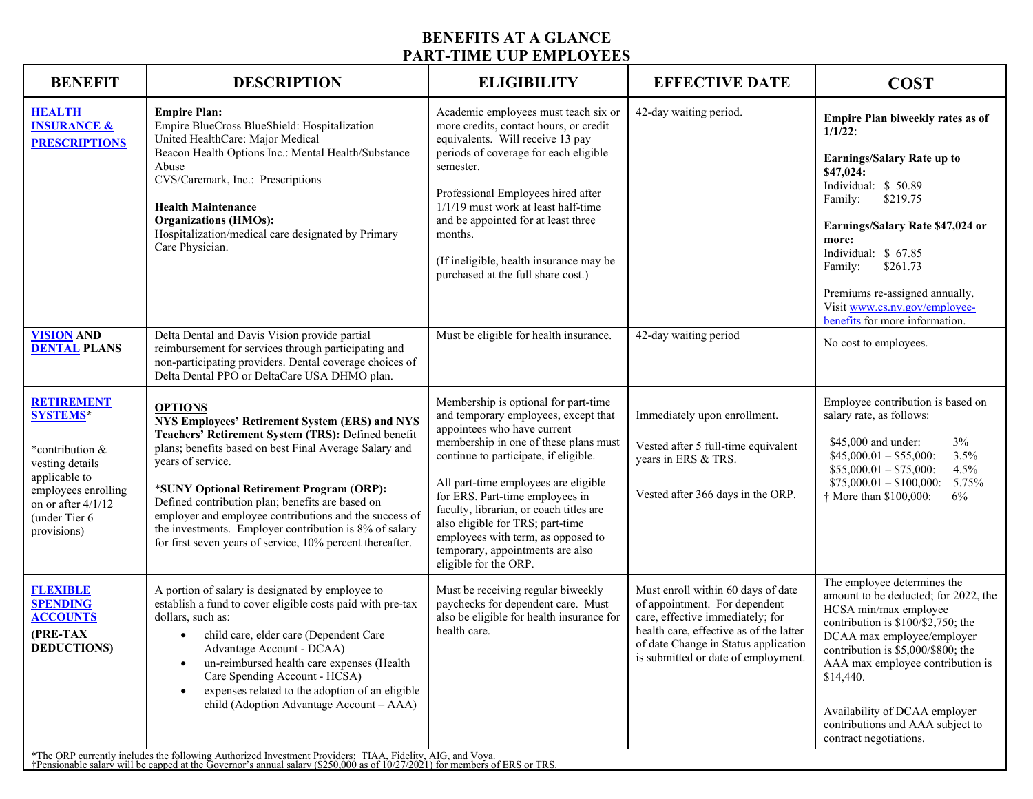## **BENEFITS AT A GLANCE PART-TIME UUP EMPLOYEES**

| <b>BENEFIT</b>                                                                                                                                                           | <b>DESCRIPTION</b>                                                                                                                                                                                                                                                                                                                                                                                                                                                                                                                                                                                                             | <b>ELIGIBILITY</b>                                                                                                                                                                                                                                                                                                                                                                                                                                         | <b>EFFECTIVE DATE</b>                                                                                                                                                                                                             | <b>COST</b>                                                                                                                                                                                                                                                                                                                                               |  |
|--------------------------------------------------------------------------------------------------------------------------------------------------------------------------|--------------------------------------------------------------------------------------------------------------------------------------------------------------------------------------------------------------------------------------------------------------------------------------------------------------------------------------------------------------------------------------------------------------------------------------------------------------------------------------------------------------------------------------------------------------------------------------------------------------------------------|------------------------------------------------------------------------------------------------------------------------------------------------------------------------------------------------------------------------------------------------------------------------------------------------------------------------------------------------------------------------------------------------------------------------------------------------------------|-----------------------------------------------------------------------------------------------------------------------------------------------------------------------------------------------------------------------------------|-----------------------------------------------------------------------------------------------------------------------------------------------------------------------------------------------------------------------------------------------------------------------------------------------------------------------------------------------------------|--|
| <b>HEALTH</b><br><b>INSURANCE &amp;</b><br><b>PRESCRIPTIONS</b>                                                                                                          | <b>Empire Plan:</b><br>Empire BlueCross BlueShield: Hospitalization<br>United HealthCare: Major Medical<br>Beacon Health Options Inc.: Mental Health/Substance<br>Abuse<br>CVS/Caremark, Inc.: Prescriptions<br><b>Health Maintenance</b><br><b>Organizations (HMOs):</b><br>Hospitalization/medical care designated by Primary<br>Care Physician.                                                                                                                                                                                                                                                                             | Academic employees must teach six or<br>more credits, contact hours, or credit<br>equivalents. Will receive 13 pay<br>periods of coverage for each eligible<br>semester.<br>Professional Employees hired after<br>$1/1/19$ must work at least half-time<br>and be appointed for at least three<br>months.<br>(If ineligible, health insurance may be<br>purchased at the full share cost.)                                                                 | 42-day waiting period.                                                                                                                                                                                                            | Empire Plan biweekly rates as of<br>$1/1/22$ :<br><b>Earnings/Salary Rate up to</b><br>\$47,024:<br>Individual: \$50.89<br>Family:<br>\$219.75<br>Earnings/Salary Rate \$47,024 or<br>more:<br>Individual: \$ 67.85<br>\$261.73<br>Family:<br>Premiums re-assigned annually.<br>Visit www.cs.ny.gov/employee-<br>benefits for more information.           |  |
| <b>VISION AND</b><br><b>DENTAL PLANS</b>                                                                                                                                 | Delta Dental and Davis Vision provide partial<br>reimbursement for services through participating and<br>non-participating providers. Dental coverage choices of<br>Delta Dental PPO or DeltaCare USA DHMO plan.                                                                                                                                                                                                                                                                                                                                                                                                               | Must be eligible for health insurance.                                                                                                                                                                                                                                                                                                                                                                                                                     | 42-day waiting period                                                                                                                                                                                                             | No cost to employees.                                                                                                                                                                                                                                                                                                                                     |  |
| <b>RETIREMENT</b><br><b>SYSTEMS*</b><br>*contribution &<br>vesting details<br>applicable to<br>employees enrolling<br>on or after 4/1/12<br>(under Tier 6<br>provisions) | <b>OPTIONS</b><br>NYS Employees' Retirement System (ERS) and NYS<br>Teachers' Retirement System (TRS): Defined benefit<br>plans; benefits based on best Final Average Salary and<br>years of service.<br>*SUNY Optional Retirement Program (ORP):<br>Defined contribution plan; benefits are based on<br>employer and employee contributions and the success of<br>the investments. Employer contribution is 8% of salary<br>for first seven years of service, 10% percent thereafter.                                                                                                                                         | Membership is optional for part-time<br>and temporary employees, except that<br>appointees who have current<br>membership in one of these plans must<br>continue to participate, if eligible.<br>All part-time employees are eligible<br>for ERS. Part-time employees in<br>faculty, librarian, or coach titles are<br>also eligible for TRS; part-time<br>employees with term, as opposed to<br>temporary, appointments are also<br>eligible for the ORP. | Immediately upon enrollment.<br>Vested after 5 full-time equivalent<br>years in ERS & TRS.<br>Vested after 366 days in the ORP.                                                                                                   | Employee contribution is based on<br>salary rate, as follows:<br>\$45,000 and under:<br>$3\%$<br>3.5%<br>$$45,000.01 - $55,000$ :<br>$$55,000.01 - $75,000$ :<br>4.5%<br>$$75,000.01 - $100,000$ :<br>5.75%<br>† More than \$100,000:<br>6%                                                                                                               |  |
| <b>FLEXIBLE</b><br><b>SPENDING</b><br><b>ACCOUNTS</b><br>(PRE-TAX<br><b>DEDUCTIONS</b> )                                                                                 | A portion of salary is designated by employee to<br>establish a fund to cover eligible costs paid with pre-tax<br>dollars, such as:<br>child care, elder care (Dependent Care<br>Advantage Account - DCAA)<br>un-reimbursed health care expenses (Health<br>Care Spending Account - HCSA)<br>expenses related to the adoption of an eligible<br>child (Adoption Advantage Account - AAA)<br>*The ORP currently includes the following Authorized Investment Providers: TIAA, Fidelity, AIG, and Voya.<br>†Pensionable salary will be capped at the Governor's annual salary (\$250,000 as of 10/27/2021) for members of ERS or | Must be receiving regular biweekly<br>paychecks for dependent care. Must<br>also be eligible for health insurance for<br>health care.                                                                                                                                                                                                                                                                                                                      | Must enroll within 60 days of date<br>of appointment. For dependent<br>care, effective immediately; for<br>health care, effective as of the latter<br>of date Change in Status application<br>is submitted or date of employment. | The employee determines the<br>amount to be deducted; for 2022, the<br>HCSA min/max employee<br>contribution is $$100/\$2,750$ ; the<br>DCAA max employee/employer<br>contribution is $$5,000/$800$ ; the<br>AAA max employee contribution is<br>\$14,440.<br>Availability of DCAA employer<br>contributions and AAA subject to<br>contract negotiations. |  |